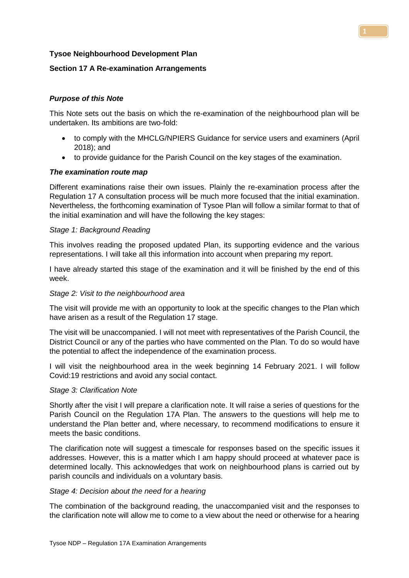## **Tysoe Neighbourhood Development Plan**

# **Section 17 A Re-examination Arrangements**

# *Purpose of this Note*

This Note sets out the basis on which the re-examination of the neighbourhood plan will be undertaken. Its ambitions are two-fold:

- to comply with the MHCLG/NPIERS Guidance for service users and examiners (April 2018); and
- to provide guidance for the Parish Council on the key stages of the examination.

## *The examination route map*

Different examinations raise their own issues. Plainly the re-examination process after the Regulation 17 A consultation process will be much more focused that the initial examination. Nevertheless, the forthcoming examination of Tysoe Plan will follow a similar format to that of the initial examination and will have the following the key stages:

### *Stage 1: Background Reading*

This involves reading the proposed updated Plan, its supporting evidence and the various representations. I will take all this information into account when preparing my report.

I have already started this stage of the examination and it will be finished by the end of this week.

### *Stage 2: Visit to the neighbourhood area*

The visit will provide me with an opportunity to look at the specific changes to the Plan which have arisen as a result of the Regulation 17 stage.

The visit will be unaccompanied. I will not meet with representatives of the Parish Council, the District Council or any of the parties who have commented on the Plan. To do so would have the potential to affect the independence of the examination process.

I will visit the neighbourhood area in the week beginning 14 February 2021. I will follow Covid:19 restrictions and avoid any social contact.

### *Stage 3: Clarification Note*

Shortly after the visit I will prepare a clarification note. It will raise a series of questions for the Parish Council on the Regulation 17A Plan. The answers to the questions will help me to understand the Plan better and, where necessary, to recommend modifications to ensure it meets the basic conditions.

The clarification note will suggest a timescale for responses based on the specific issues it addresses. However, this is a matter which I am happy should proceed at whatever pace is determined locally. This acknowledges that work on neighbourhood plans is carried out by parish councils and individuals on a voluntary basis.

## *Stage 4: Decision about the need for a hearing*

The combination of the background reading, the unaccompanied visit and the responses to the clarification note will allow me to come to a view about the need or otherwise for a hearing